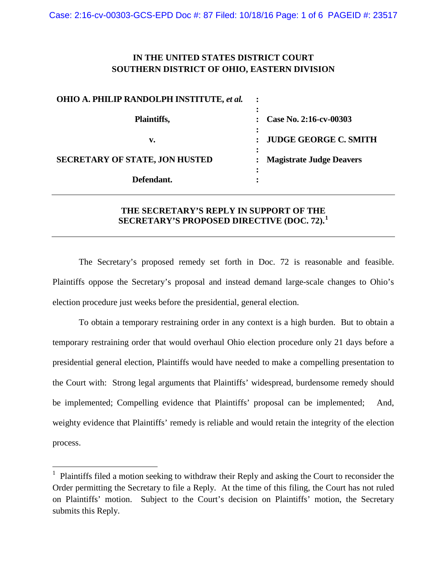# **IN THE UNITED STATES DISTRICT COURT SOUTHERN DISTRICT OF OHIO, EASTERN DIVISION**

| <b>OHIO A. PHILIP RANDOLPH INSTITUTE, et al.</b> |                                 |
|--------------------------------------------------|---------------------------------|
| Plaintiffs,                                      | Case No. 2:16-cv-00303          |
| v.                                               | <b>JUDGE GEORGE C. SMITH</b>    |
| <b>SECRETARY OF STATE, JON HUSTED</b>            | <b>Magistrate Judge Deavers</b> |
| Defendant.                                       |                                 |
|                                                  |                                 |

# **THE SECRETARY'S REPLY IN SUPPORT OF THE SECRETARY'S PROPOSED DIRECTIVE (DOC. 72).[1](#page-1-0)**

The Secretary's proposed remedy set forth in Doc. 72 is reasonable and feasible. Plaintiffs oppose the Secretary's proposal and instead demand large-scale changes to Ohio's election procedure just weeks before the presidential, general election.

To obtain a temporary restraining order in any context is a high burden. But to obtain a temporary restraining order that would overhaul Ohio election procedure only 21 days before a presidential general election, Plaintiffs would have needed to make a compelling presentation to the Court with: Strong legal arguments that Plaintiffs' widespread, burdensome remedy should be implemented; Compelling evidence that Plaintiffs' proposal can be implemented; And, weighty evidence that Plaintiffs' remedy is reliable and would retain the integrity of the election process.

<sup>&</sup>lt;sup>1</sup> Plaintiffs filed a motion seeking to withdraw their Reply and asking the Court to reconsider the Order permitting the Secretary to file a Reply. At the time of this filing, the Court has not ruled on Plaintiffs' motion. Subject to the Court's decision on Plaintiffs' motion, the Secretary submits this Reply.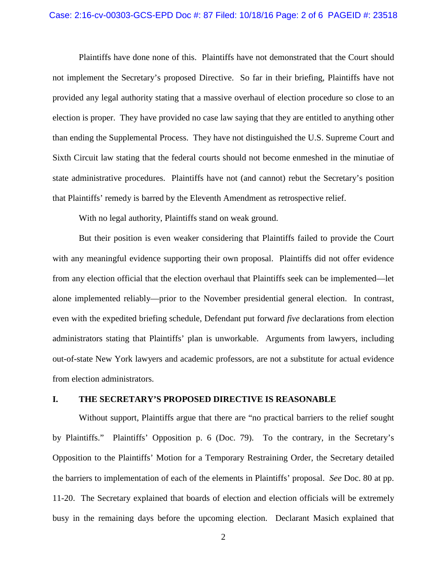#### Case: 2:16-cv-00303-GCS-EPD Doc #: 87 Filed: 10/18/16 Page: 2 of 6 PAGEID #: 23518

Plaintiffs have done none of this. Plaintiffs have not demonstrated that the Court should not implement the Secretary's proposed Directive. So far in their briefing, Plaintiffs have not provided any legal authority stating that a massive overhaul of election procedure so close to an election is proper. They have provided no case law saying that they are entitled to anything other than ending the Supplemental Process. They have not distinguished the U.S. Supreme Court and Sixth Circuit law stating that the federal courts should not become enmeshed in the minutiae of state administrative procedures. Plaintiffs have not (and cannot) rebut the Secretary's position that Plaintiffs' remedy is barred by the Eleventh Amendment as retrospective relief.

With no legal authority, Plaintiffs stand on weak ground.

But their position is even weaker considering that Plaintiffs failed to provide the Court with any meaningful evidence supporting their own proposal. Plaintiffs did not offer evidence from any election official that the election overhaul that Plaintiffs seek can be implemented—let alone implemented reliably—prior to the November presidential general election. In contrast, even with the expedited briefing schedule, Defendant put forward *five* declarations from election administrators stating that Plaintiffs' plan is unworkable. Arguments from lawyers, including out-of-state New York lawyers and academic professors, are not a substitute for actual evidence from election administrators.

## **I. THE SECRETARY'S PROPOSED DIRECTIVE IS REASONABLE**

<span id="page-1-0"></span>Without support, Plaintiffs argue that there are "no practical barriers to the relief sought by Plaintiffs." Plaintiffs' Opposition p. 6 (Doc. 79). To the contrary, in the Secretary's Opposition to the Plaintiffs' Motion for a Temporary Restraining Order, the Secretary detailed the barriers to implementation of each of the elements in Plaintiffs' proposal. *See* Doc. 80 at pp. 11-20. The Secretary explained that boards of election and election officials will be extremely busy in the remaining days before the upcoming election. Declarant Masich explained that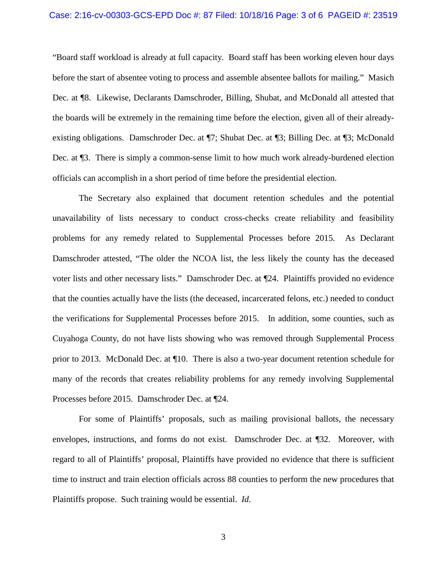### Case: 2:16-cv-00303-GCS-EPD Doc #: 87 Filed: 10/18/16 Page: 3 of 6 PAGEID #: 23519

"Board staff workload is already at full capacity. Board staff has been working eleven hour days before the start of absentee voting to process and assemble absentee ballots for mailing." Masich Dec. at ¶8. Likewise, Declarants Damschroder, Billing, Shubat, and McDonald all attested that the boards will be extremely in the remaining time before the election, given all of their alreadyexisting obligations. Damschroder Dec. at ¶7; Shubat Dec. at ¶3; Billing Dec. at ¶3; McDonald Dec. at ¶3. There is simply a common-sense limit to how much work already-burdened election officials can accomplish in a short period of time before the presidential election.

The Secretary also explained that document retention schedules and the potential unavailability of lists necessary to conduct cross-checks create reliability and feasibility problems for any remedy related to Supplemental Processes before 2015. As Declarant Damschroder attested, "The older the NCOA list, the less likely the county has the deceased voter lists and other necessary lists." Damschroder Dec. at ¶24. Plaintiffs provided no evidence that the counties actually have the lists (the deceased, incarcerated felons, etc.) needed to conduct the verifications for Supplemental Processes before 2015. In addition, some counties, such as Cuyahoga County, do not have lists showing who was removed through Supplemental Process prior to 2013. McDonald Dec. at ¶10. There is also a two-year document retention schedule for many of the records that creates reliability problems for any remedy involving Supplemental Processes before 2015. Damschroder Dec. at ¶24.

For some of Plaintiffs' proposals, such as mailing provisional ballots, the necessary envelopes, instructions, and forms do not exist. Damschroder Dec. at ¶32. Moreover, with regard to all of Plaintiffs' proposal, Plaintiffs have provided no evidence that there is sufficient time to instruct and train election officials across 88 counties to perform the new procedures that Plaintiffs propose. Such training would be essential. *Id*.

3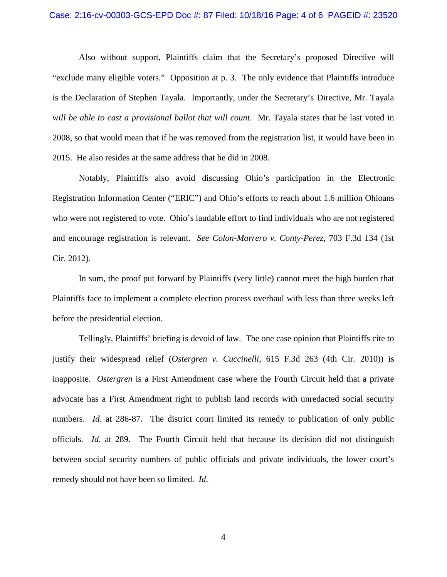#### Case: 2:16-cv-00303-GCS-EPD Doc #: 87 Filed: 10/18/16 Page: 4 of 6 PAGEID #: 23520

Also without support, Plaintiffs claim that the Secretary's proposed Directive will "exclude many eligible voters." Opposition at p. 3. The only evidence that Plaintiffs introduce is the Declaration of Stephen Tayala. Importantly, under the Secretary's Directive, Mr. Tayala *will be able to cast a provisional ballot that will count*. Mr. Tayala states that he last voted in 2008, so that would mean that if he was removed from the registration list, it would have been in 2015. He also resides at the same address that he did in 2008.

Notably, Plaintiffs also avoid discussing Ohio's participation in the Electronic Registration Information Center ("ERIC") and Ohio's efforts to reach about 1.6 million Ohioans who were not registered to vote. Ohio's laudable effort to find individuals who are not registered and encourage registration is relevant. *See Colon-Marrero v. Conty-Perez*, 703 F.3d 134 (1st Cir. 2012).

In sum, the proof put forward by Plaintiffs (very little) cannot meet the high burden that Plaintiffs face to implement a complete election process overhaul with less than three weeks left before the presidential election.

Tellingly, Plaintiffs' briefing is devoid of law. The one case opinion that Plaintiffs cite to justify their widespread relief (*Ostergren v. Cuccinelli*, 615 F.3d 263 (4th Cir. 2010)) is inapposite. *Ostergren* is a First Amendment case where the Fourth Circuit held that a private advocate has a First Amendment right to publish land records with unredacted social security numbers. *Id.* at 286-87. The district court limited its remedy to publication of only public officials. *Id*. at 289. The Fourth Circuit held that because its decision did not distinguish between social security numbers of public officials and private individuals, the lower court's remedy should not have been so limited. *Id*.

4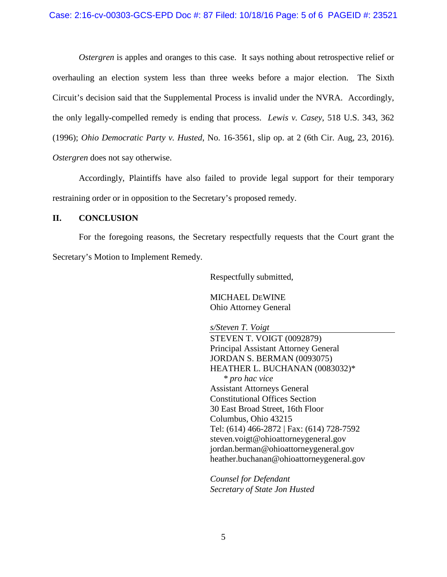### Case: 2:16-cv-00303-GCS-EPD Doc #: 87 Filed: 10/18/16 Page: 5 of 6 PAGEID #: 23521

*Ostergren* is apples and oranges to this case. It says nothing about retrospective relief or overhauling an election system less than three weeks before a major election. The Sixth Circuit's decision said that the Supplemental Process is invalid under the NVRA. Accordingly, the only legally-compelled remedy is ending that process. *Lewis v. Casey*, 518 U.S. 343, 362 (1996); *Ohio Democratic Party v. Husted*, No. 16-3561, slip op. at 2 (6th Cir. Aug, 23, 2016). *Ostergren* does not say otherwise.

Accordingly, Plaintiffs have also failed to provide legal support for their temporary restraining order or in opposition to the Secretary's proposed remedy.

### **II. CONCLUSION**

For the foregoing reasons, the Secretary respectfully requests that the Court grant the Secretary's Motion to Implement Remedy.

Respectfully submitted,

MICHAEL DEWINE Ohio Attorney General

*s/Steven T. Voigt*

STEVEN T. VOIGT (0092879) Principal Assistant Attorney General JORDAN S. BERMAN (0093075) HEATHER L. BUCHANAN (0083032)\* *\* pro hac vice* Assistant Attorneys General Constitutional Offices Section 30 East Broad Street, 16th Floor Columbus, Ohio 43215 Tel: (614) 466-2872 | Fax: (614) 728-7592 steven.voigt@ohioattorneygeneral.gov jordan.berman@ohioattorneygeneral.gov heather.buchanan@ohioattorneygeneral.gov

*Counsel for Defendant Secretary of State Jon Husted*